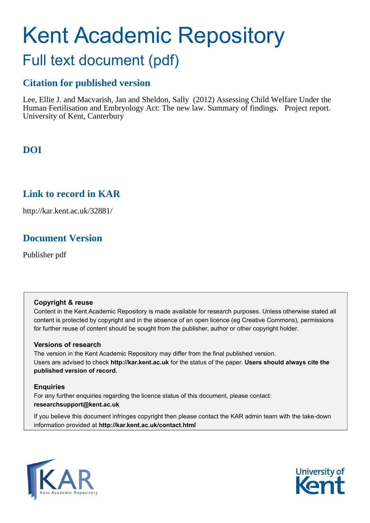# Kent Academic Repository

# Full text document (pdf)

### **Citation for published version**

Lee, Ellie J. and Macvarish, Jan and Sheldon, Sally (2012) Assessing Child Welfare Under the Human Fertilisation and Embryology Act: The new law. Summary of findings. Project report. University of Kent, Canterbury

### **DOI**

### **Link to record in KAR**

http://kar.kent.ac.uk/32881/

### **Document Version**

Publisher pdf

### **Copyright & reuse**

Content in the Kent Academic Repository is made available for research purposes. Unless otherwise stated all content is protected by copyright and in the absence of an open licence (eg Creative Commons), permissions for further reuse of content should be sought from the publisher, author or other copyright holder.

### **Versions of research**

The version in the Kent Academic Repository may differ from the final published version. Users are advised to check **http://kar.kent.ac.uk** for the status of the paper. **Users should always cite the published version of record.**

### **Enquiries**

For any further enquiries regarding the licence status of this document, please contact: **researchsupport@kent.ac.uk**

If you believe this document infringes copyright then please contact the KAR admin team with the take-down information provided at **http://kar.kent.ac.uk/contact.html**



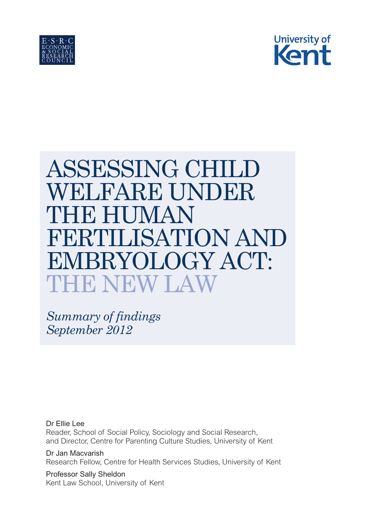



# ASSESSING CHILD WELFARE UNDER IH) HUMAN FERTILISATION AND EMBRYOLOGY ACT: THE NEW LAW

*Summary of findings September 2012*

Dr Ellie Lee Reader, School of Social Policy, Sociology and Social Research, and Director, Centre for Parenting Culture Studies, University of Kent

Dr Jan Macvarish Research Fellow, Centre for Health Services Studies, University of Kent

Professor Sally Sheldon Kent Law School, University of Kent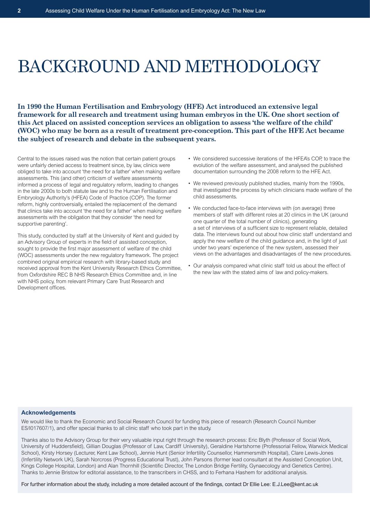# BACKGROUND AND METHODOLOGY

**In 1990 the Human Fertilisation and Embryology (HFE) Act introduced an extensive legal framework for all research and treatment using human embryos in the UK. One short section of this Act placed on assisted conception services an obligation to assess 'the welfare of the child' (WOC) who may be born as a result of treatment pre-conception. This part of the HFE Act became the subject of research and debate in the subsequent years.**

Central to the issues raised was the notion that certain patient groups were unfairly denied access to treatment since, by law, clinics were obliged to take into account 'the need for a father' when making welfare assessments. This (and other) criticism of welfare assessments informed a process of legal and regulatory reform, leading to changes in the late 2000s to both statute law and to the Human Fertilisation and Embryology Authority's (HFEA) Code of Practice (COP). The former reform, highly controversially, entailed the replacement of the demand that clinics take into account 'the need for a father' when making welfare assessments with the obligation that they consider 'the need for supportive parenting'.

This study, conducted by staff at the University of Kent and guided by an Advisory Group of experts in the field of assisted conception, sought to provide the first major assessment of welfare of the child (WOC) assessments under the new regulatory framework. The project combined original empirical research with library-based study and received approval from the Kent University Research Ethics Committee, from Oxfordshire REC B NHS Research Ethics Committee and, in line with NHS policy, from relevant Primary Care Trust Research and Development offices.

- We considered successive iterations of the HFEA's COP, to trace the evolution of the welfare assessment, and analysed the published documentation surrounding the 2008 reform to the HFE Act.
- We reviewed previously published studies, mainly from the 1990s, that investigated the process by which clinicians made welfare of the child assessments.
- We conducted face-to-face interviews with (on average) three members of staff with different roles at 20 clinics in the UK (around one quarter of the total number of clinics), generating a set of interviews of a sufficient size to represent reliable, detailed data. The interviews found out about how clinic staff understand and apply the new welfare of the child guidance and, in the light of just under two years' experience of the new system, assessed their views on the advantages and disadvantages of the new procedures.
- Our analysis compared what clinic staff told us about the effect of the new law with the stated aims of law and policy-makers.

#### **Acknowledgements**

We would like to thank the Economic and Social Research Council for funding this piece of research (Research Council Number ES/I017607/1), and offer special thanks to all clinic staff who took part in the study.

Thanks also to the Advisory Group for their very valuable input right through the research process: Eric Blyth (Professor of Social Work, University of Huddersfield), Gillian Douglas (Professor of Law, Cardiff University), Geraldine Hartshorne (Professorial Fellow, Warwick Medical School), Kirsty Horsey (Lecturer, Kent Law School), Jennie Hunt (Senior Infertility Counsellor, Hammersmith Hospital), Clare Lewis-Jones (Infertility Network UK), Sarah Norcross (Progress Educational Trust), John Parsons (former lead consultant at the Assisted Conception Unit, Kings College Hospital, London) and Alan Thornhill (Scientific Director, The London Bridge Fertility, Gynaecology and Genetics Centre). Thanks to Jennie Bristow for editorial assistance, to the transcribers in CHSS, and to Ferhana Hashem for additional analysis.

For further information about the study, including a more detailed account of the findings, contact Dr Ellie Lee: E.J.Lee@kent.ac.uk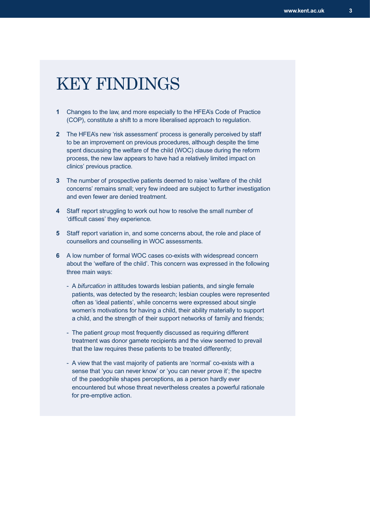# KEY FINDINGS

- **1** Changes to the law, and more especially to the HFEA's Code of Practice (COP), constitute a shift to a more liberalised approach to regulation.
- **2** The HFEA's new 'risk assessment' process is generally perceived by staff to be an improvement on previous procedures, although despite the time spent discussing the welfare of the child (WOC) clause during the reform process, the new law appears to have had a relatively limited impact on clinics' previous practice.
- **3** The number of prospective patients deemed to raise 'welfare of the child concerns' remains small; very few indeed are subject to further investigation and even fewer are denied treatment.
- **4** Staff report struggling to work out how to resolve the small number of 'difficult cases' they experience.
- **5** Staff report variation in, and some concerns about, the role and place of counsellors and counselling in WOC assessments.
- **6** A low number of formal WOC cases co-exists with widespread concern about the 'welfare of the child'. This concern was expressed in the following three main ways:
	- A *bifurcation* in attitudes towards lesbian patients, and single female patients, was detected by the research; lesbian couples were represented often as 'ideal patients', while concerns were expressed about single women's motivations for having a child, their ability materially to support a child, and the strength of their support networks of family and friends;
	- The patient *group* most frequently discussed as requiring different treatment was donor gamete recipients and the view seemed to prevail that the law requires these patients to be treated differently;
	- A view that the vast majority of patients are 'normal' co-exists with a sense that 'you can never know' or 'you can never prove it'; the spectre of the paedophile shapes perceptions, as a person hardly ever encountered but whose threat nevertheless creates a powerful rationale for pre-emptive action.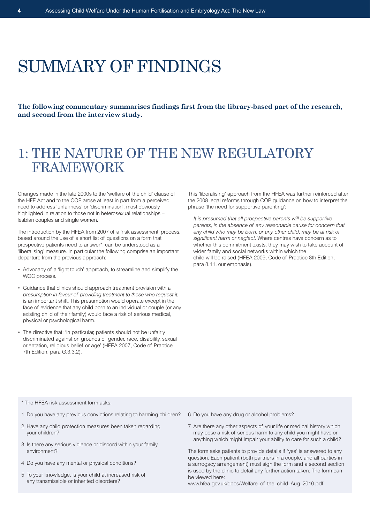# SUMMARY OF FINDINGS

**The following commentary summarises findings first from the library-based part of the research, and second from the interview study.**

# 1: THE NATURE OF THE NEW REGULATORY FRAMEWORK

Changes made in the late 2000s to the 'welfare of the child' clause of the HFE Act and to the COP arose at least in part from a perceived need to address 'unfairness' or 'discrimination', most obviously highlighted in relation to those not in heterosexual relationships – lesbian couples and single women.

The introduction by the HFEA from 2007 of a 'risk assessment' process, based around the use of a short list of questions on a form that prospective patients need to answer\*, can be understood as a 'liberalising' measure. In particular the following comprise an important departure from the previous approach:

- Advocacy of a 'light touch' approach, to streamline and simplify the WOC process.
- Guidance that clinics should approach treatment provision with a *presumption in favour of providing treatment to those who request it*, is an important shift. This presumption would operate except in the face of evidence that any child born to an individual or couple (or any existing child of their family) would face a risk of serious medical, physical or psychological harm.
- The directive that: 'in particular, patients should not be unfairly discriminated against on grounds of gender, race, disability, sexual orientation, religious belief or age' (HFEA 2007, Code of Practice 7th Edition, para G.3.3.2).

This 'liberalising' approach from the HFEA was further reinforced after the 2008 legal reforms through COP guidance on how to interpret the phrase 'the need for supportive parenting':

*It is presumed that all prospective parents will be supportive parents, in the absence of any reasonable cause for concern that any child who may be born, or any other child, may be at risk of significant harm or neglect.* Where centres have concern as to whether this commitment exists, they may wish to take account of wider family and social networks within which the child will be raised (HFEA 2009, Code of Practice 8th Edition, para 8.11, our emphasis).

- \* The HFEA risk assessment form asks:
- 1 Do you have any previous convictions relating to harming children?
- 2 Have any child protection measures been taken regarding your children?
- 3 Is there any serious violence or discord within your family environment?
- 4 Do you have any mental or physical conditions?
- 5 To your knowledge, is your child at increased risk of any transmissible or inherited disorders?
- 6 Do you have any drug or alcohol problems?
- 7 Are there any other aspects of your life or medical history which may pose a risk of serious harm to any child you might have or anything which might impair your ability to care for such a child?

The form asks patients to provide details if 'yes' is answered to any question. Each patient (both partners in a couple, and all parties in a surrogacy arrangement) must sign the form and a second section is used by the clinic to detail any further action taken. The form can be viewed here:

www.hfea.gov.uk/docs/Welfare\_of\_the\_child\_Aug\_2010.pdf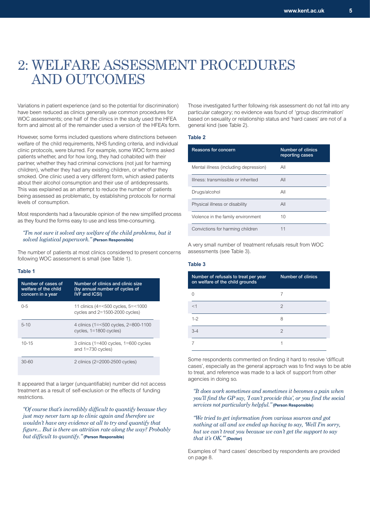# 2: WELFARE ASSESSMENT PROCEDURES AND OUTCOMES

Variations in patient experience (and so the potential for discrimination) have been reduced as clinics generally use common procedures for WOC assessments; one half of the clinics in the study used the HFEA form and almost all of the remainder used a version of the HFEA's form.

However, some forms included questions where distinctions between welfare of the child requirements, NHS funding criteria, and individual clinic protocols, were blurred. For example, some WOC forms asked patients whether, and for how long, they had cohabited with their partner, whether they had criminal convictions (not just for harming children), whether they had any existing children, or whether they smoked. One clinic used a very different form, which asked patients about their alcohol consumption and their use of antidepressants. This was explained as an attempt to reduce the number of patients being assessed as problematic, by establishing protocols for normal levels of consumption.

Most respondents had a favourable opinion of the new simplified process as they found the forms easy to use and less time-consuming.

#### *"I'm not sure it solved any welfare of the child problems, but it solved logistical paperwork."* **(Person Responsible)**

The number of patients at most clinics considered to present concerns following WOC assessment is small (see Table 1).

#### **Table 1**

| Number of cases of<br>welfare of the child<br>concern in a year | Number of clinics and clinic size<br>(by annual number of cycles of<br><b>IVF and ICSI)</b> |
|-----------------------------------------------------------------|---------------------------------------------------------------------------------------------|
| $0 - 5$                                                         | 11 clinics (4=<500 cycles, 5=<1000<br>cycles and $2=1500-2000$ cycles)                      |
| $5 - 10$                                                        | 4 clinics (1=<500 cycles, 2=800-1100<br>cycles, $1=1800$ cycles)                            |
| $10 - 15$                                                       | 3 clinics (1=400 cycles, $1=600$ cycles<br>and $1=730$ cycles)                              |
| $30 - 60$                                                       | 2 clinics (2=2000-2500 cycles)                                                              |

It appeared that a larger (unquantifiable) number did not access treatment as a result of self-exclusion or the effects of funding restrictions.

*"Of course that's incredibly difficult to quantify because they just may never turn up to clinic again and therefore we wouldn't have any evidence at all to try and quantify that figure... But is there an attrition rate along the way? Probably but difficult to quantify."* **(Person Responsible)** 

Those investigated further following risk assessment do not fall into any particular category; no evidence was found of 'group discrimination' based on sexuality or relationship status and 'hard cases' are not of a general kind (see Table 2).

#### **Table 2**

| Reasons for concern                   | Number of clinics<br>reporting cases |
|---------------------------------------|--------------------------------------|
| Mental illness (including depression) | All                                  |
| Illness: transmissible or inherited   | All                                  |
| Drugs/alcohol                         | All                                  |
| Physical illness or disability        | All                                  |
| Violence in the family environment    | 10                                   |
| Convictions for harming children      | 11                                   |

A very small number of treatment refusals result from WOC assessments (see Table 3).

#### **Table 3**

| Number of refusals to treat per year<br>on welfare of the child grounds | <b>Number of clinics</b> |
|-------------------------------------------------------------------------|--------------------------|
|                                                                         |                          |
| $<$ 1                                                                   | $\overline{c}$           |
| $1 - 2$                                                                 | 8                        |
| $3-4$                                                                   | $\mathcal{P}$            |
|                                                                         |                          |

Some respondents commented on finding it hard to resolve 'difficult cases', especially as the general approach was to find ways to be able to treat, and reference was made to a lack of support from other agencies in doing so.

*"It does work sometimes and sometimes it becomes a pain when you'll find the GP say, 'I can't provide this', or you find the social services not particularly helpful."* **(Person Responsible)**

*"We tried to get information from various sources and got nothing at all and we ended up having to say, 'Well I'm sorry, but we can't treat you because we can't get the support to say that it's OK.'"* **(Doctor)**

Examples of 'hard cases' described by respondents are provided on page 8.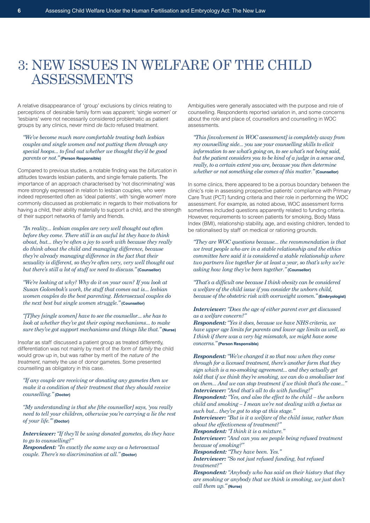# 3: NEW ISSUES IN WELFARE OF THE CHILD ASSESSMENTS

A relative disappearance of 'group' exclusions by clinics relating to perceptions of desirable family form was apparent; 'single women' or 'lesbians' were not necessarily considered problematic as patient groups by any clinics, never mind *de facto* refused treatment.

*"We've become much more comfortable treating both lesbian couples and single women and not putting them through any special hoops... to find out whether we thought they'd be good parents or not."* **(Person Responsible)**

Compared to previous studies, a notable finding was the *bifurcation* in attitudes towards lesbian patients, and single female patients. The importance of an approach characterised by 'not discriminating' was more strongly expressed in relation to lesbian couples, who were indeed represented often as 'ideal patients', with 'single women' more commonly discussed as problematic in regards to their motivations for having a child, their ability materially to support a child, and the strength of their support networks of family and friends.

*"In reality... lesbian couples are very well thought out often before they come. There still is an awful lot they have to think about, but... they're often a joy to work with because they really do think about the child and managing difference, because they're already managing difference in the fact that their sexuality is different, so they're often very, very well thought out but there's still a lot of stuff we need to discuss."***(Counsellor)**

*"We're looking at why? Why do it on your own? If you look at Susan Golombok's work, the stuff that comes out is... lesbian women couples do the best parenting. Heterosexual couples do the next best but single women struggle."* **(Counsellor)**

*"[T]hey [single women] have to see the counsellor... she has to look at whether they've got their coping mechanisms... to make sure they've got support mechanisms and things like that."* **(Nurse)**

Insofar as staff discussed a patient group as treated differently, differentiation was not mainly by merit of the *form of family* the child would grow up in, but was rather by merit of the *nature of the treatment*, namely the use of donor gametes. Some presented counselling as obligatory in this case.

*"If any couple are receiving or donating any gametes then we make it a condition of their treatment that they should receive counselling."* **(Doctor)**

*"My understanding is that she [the counsellor] says, 'you really need to tell your children, otherwise you're carrying a lie the rest of your life.'"* **(Doctor)**

*Interviewer: "If they'll be using donated gametes, do they have to go to counselling?"*

*Respondent: "In exactly the same way as a heterosexual couple. There's no discrimination at all."* **(Doctor)**

Ambiguities were generally associated with the purpose and role of counselling. Respondents reported variation in, and some concerns about the role and place of, counsellors and counselling in WOC assessments.

*"This [involvement in WOC assessment] is completely away from my counselling side... you use your counselling skills to elicit information to see what's going on, to see what's not being said, but the patient considers you to be kind of a judge in a sense and, really, to a certain extent you are, because you then determine whether or not something else comes of this matter."* **(Counsellor)**

In some clinics, there appeared to be a porous boundary between the clinic's role in assessing prospective patients' compliance with Primary Care Trust (PCT) funding criteria and their role in performing the WOC assessment. For example, as noted above, WOC assessment forms sometimes included questions apparently related to funding criteria. However, requirements to screen patients for smoking, Body Mass Index (BMI), relationship stability, age, and existing children, tended to be rationalised by staff on medical or rationing grounds.

*"They are WOC questions because... the recommendation is that we treat people who are in a stable relationship and the ethics committee here said it is considered a stable relationship where two partners live together for at least a year, so that's why we're asking how long they've been together."* **(Counsellor)**

*"That's a difficult one because I think obesity can be considered a welfare of the child issue if you consider the unborn child, because of the obstetric risk with overweight women."* **(Embryologist)**

*Interviewer: "Does the age of either parent ever get discussed as a welfare concern?"*

*Respondent: "Yes it does, because we have NHS criteria, we have upper age limits for parents and lower age limits as well, so I think if there was a very big mismatch, we might have some concerns."* **(Person Responsible)**

*Respondent: "We've changed it so that now when they come through for a licensed treatment, there's another form that they sign which is a no-smoking agreement... and they actually get told that if we think they're smoking, we can do a smokaliser test on them... And we can stop treatment if we think that's the case..." Interviewer: "And that's all to do with funding?"*

*Respondent: "Yes, and also the effect to the child – the unborn child and smoking – I mean we're not dealing with a foetus as such but... they've got to stop at this stage."*

*Interviewer: "But is it a welfare of the child issue, rather than about the effectiveness of treatment?"*

*Respondent: "I think it is a mixture."*

*Interviewer: "And can you see people being refused treatment because of smoking?"*

*Respondent: "They have been. Yes."*

*Interviewer: "So not just refused funding, but refused treatment?"*

*Respondent: "Anybody who has said on their history that they are smoking or anybody that we think is smoking, we just don't call them up."* **(Nurse)**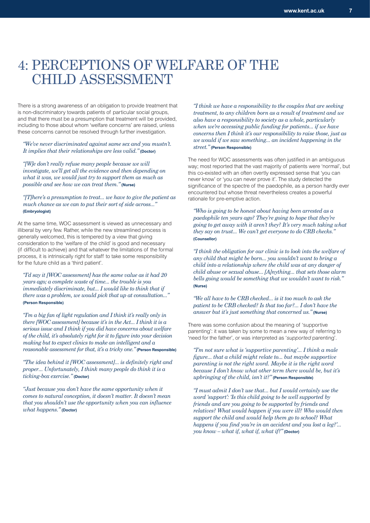## 4: PERCEPTIONS OF WELFARE OF THE CHILD ASSESSMENT

There is a strong awareness of an obligation to provide treatment that is non-discriminatory towards patients of particular social groups, and that there must be a presumption that treatment will be provided, including to those about whom 'welfare concerns' are raised, unless these concerns cannot be resolved through further investigation.

*"We've never discriminated against same sex and you mustn't. It implies that their relationships are less valid."* **(Doctor)** 

*"[W]e don't really refuse many people because we will investigate, we'll get all the evidence and then depending on what it was, we would just try to support them as much as possible and see how we can treat them."* **(Nurse)**

*"[T]here's a presumption to treat... we have to give the patient as much chance as we can to put their sort of side across..."* **(Embryologist)**

At the same time, WOC assessment is viewed as unnecessary and illiberal by very few. Rather, while the new streamlined process is generally welcomed, this is tempered by a view that giving consideration to the 'welfare of the child' is good and necessary (if difficult to achieve) and that whatever the limitations of the formal process, it is intrinsically right for staff to take some responsibility for the future child as a 'third patient'.

*"I'd say it [WOC assessment] has the same value as it had 20 years ago; a complete waste of time... the trouble is you immediately discriminate, but... I would like to think that if there was a problem, we would pick that up at consultation..."* **(Person Responsible)**

*"I'm a big fan of light regulation and I think it's really only in there [WOC assessment] because it's in the Act... I think it is a serious issue and I think if you did have concerns about welfare of the child, it's absolutely right for it to figure into your decision making but to expect clinics to make an intelligent and a reasonable assessment for that, it's a tricky one.*" (Person Responsible)

*"The idea behind it [WOC assessment]... is definitely right and proper... Unfortunately, I think many people do think it is a ticking-box exercise."* **(Doctor)**

*"Just because you don't have the same opportunity when it comes to natural conception, it doesn't matter. It doesn't mean that you shouldn't use the opportunity when you can influence what happens."* **(Doctor)**

*"I think we have a responsibility to the couples that are seeking treatment, to any children born as a result of treatment and we also have a responsibility to society as a whole, particularly when we're accessing public funding for patients... if we have concerns then I think it's our responsibility to raise those, just as we would if we saw something... an incident happening in the street."* **(Person Responsible)**

The need for WOC assessments was often justified in an ambiguous way; most reported that the vast majority of patients were 'normal', but this co-existed with an often overtly expressed sense that 'you can never know' or 'you can never prove it'. The study detected the significance of the spectre of the paedophile, as a person hardly ever encountered but whose threat nevertheless creates a powerful rationale for pre-emptive action.

*"Who is going to be honest about having been arrested as a paedophile ten years ago? They're going to hope that they're going to get away with it aren't they? It's very much taking what they say on trust... We can't get everyone to do CRB checks."* **(Counsellor)**

*"I think the obligation for our clinic is to look into the welfare of any child that might be born... you wouldn't want to bring a child into a relationship where the child was at any danger of child abuse or sexual abuse... [A]nything... that sets those alarm bells going would be something that we wouldn't want to risk."* **(Nurse)**

*"We all have to be CRB checked... is it too much to ask the patient to be CRB checked? Is that too far?... I don't have the answer but it's just something that concerned us."* **(Nurse)**

There was some confusion about the meaning of 'supportive parenting': it was taken by some to mean a new way of referring to 'need for the father', or was interpreted as '*supported* parenting'.

*"I'm not sure what is 'supportive parenting'... I think a male figure... that a child might relate to... but maybe supportive parenting is not the right word. Maybe it is the right word because I don't know what other term there would be, but it's upbringing of the child, isn't it?"* **(Person Responsible)**

*"I must admit I don't use that... but I would certainly use the word 'support': 'Is this child going to be well supported by friends and are you going to be supported by friends and relatives? What would happen if you were ill? Who would then support the child and would help them go to school? What happens if you find you're in an accident and you lost a leg?'... you know – what if, what if, what if?"* **(Doctor)**